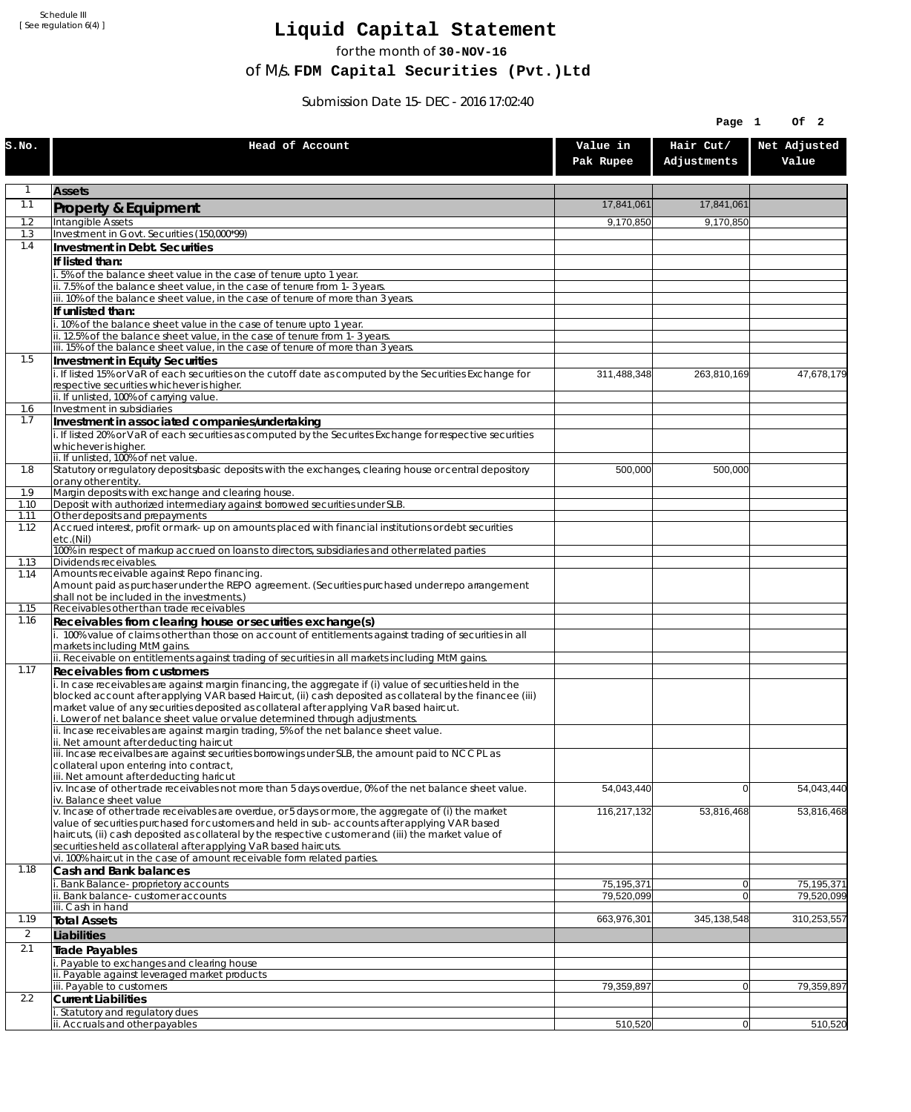Schedule III [ See regulation 6(4) ]

## **Liquid Capital Statement**

for the month of **30-NOV-16**

of M/s. **FDM Capital Securities (Pvt.)Ltd**

Submission Date 15-DEC-2016 17:02:40

|                |                                                                                                                                                                                                                                                                                                                                                                                                                                                              |                       | Page 1                   | Of 2                  |
|----------------|--------------------------------------------------------------------------------------------------------------------------------------------------------------------------------------------------------------------------------------------------------------------------------------------------------------------------------------------------------------------------------------------------------------------------------------------------------------|-----------------------|--------------------------|-----------------------|
| S.NO.          | Head of Account                                                                                                                                                                                                                                                                                                                                                                                                                                              | Value in<br>Pak Rupee | Hair Cut/<br>Adjustments | Net Adjusted<br>Value |
| 1              | <b>Assets</b>                                                                                                                                                                                                                                                                                                                                                                                                                                                |                       |                          |                       |
| 1.1            | Property & Equipment                                                                                                                                                                                                                                                                                                                                                                                                                                         | 17,841,061            | 17,841,061               |                       |
| 1.2            | Intangible Assets                                                                                                                                                                                                                                                                                                                                                                                                                                            | 9,170,850             | 9,170,850                |                       |
| 1.3<br>1.4     | Investment in Govt. Securities (150,000*99)<br>Investment in Debt. Securities                                                                                                                                                                                                                                                                                                                                                                                |                       |                          |                       |
|                | If listed than:                                                                                                                                                                                                                                                                                                                                                                                                                                              |                       |                          |                       |
|                | 5% of the balance sheet value in the case of tenure upto 1 year.                                                                                                                                                                                                                                                                                                                                                                                             |                       |                          |                       |
|                | ii. 7.5% of the balance sheet value, in the case of tenure from 1-3 years.                                                                                                                                                                                                                                                                                                                                                                                   |                       |                          |                       |
|                | iii. 10% of the balance sheet value, in the case of tenure of more than 3 years.<br>If unlisted than:                                                                                                                                                                                                                                                                                                                                                        |                       |                          |                       |
|                | 10% of the balance sheet value in the case of tenure upto 1 year.                                                                                                                                                                                                                                                                                                                                                                                            |                       |                          |                       |
|                | ii. 12.5% of the balance sheet value, in the case of tenure from 1-3 years.                                                                                                                                                                                                                                                                                                                                                                                  |                       |                          |                       |
| 1.5            | iii. 15% of the balance sheet value, in the case of tenure of more than 3 years.                                                                                                                                                                                                                                                                                                                                                                             |                       |                          |                       |
|                | <b>Investment in Equity Securities</b><br>i. If listed 15% or VaR of each securities on the cutoff date as computed by the Securities Exchange for<br>respective securities whichever is higher.                                                                                                                                                                                                                                                             | 311,488,348           | 263,810,169              | 47,678,179            |
| 1.6            | ii. If unlisted, 100% of carrying value.<br>Investment in subsidiaries                                                                                                                                                                                                                                                                                                                                                                                       |                       |                          |                       |
| 1.7            | Investment in associated companies/undertaking                                                                                                                                                                                                                                                                                                                                                                                                               |                       |                          |                       |
|                | i. If listed 20% or VaR of each securities as computed by the Securites Exchange for respective securities                                                                                                                                                                                                                                                                                                                                                   |                       |                          |                       |
|                | whichever is higher.<br>ii. If unlisted, 100% of net value.                                                                                                                                                                                                                                                                                                                                                                                                  |                       |                          |                       |
| 1.8            | Statutory or regulatory deposits/basic deposits with the exchanges, clearing house or central depository                                                                                                                                                                                                                                                                                                                                                     | 500,000               | 500,000                  |                       |
|                | or any other entity.<br>Margin deposits with exchange and clearing house.                                                                                                                                                                                                                                                                                                                                                                                    |                       |                          |                       |
| 1.9<br>1.10    | Deposit with authorized intermediary against borrowed securities under SLB.                                                                                                                                                                                                                                                                                                                                                                                  |                       |                          |                       |
| 1.11           | Other deposits and prepayments                                                                                                                                                                                                                                                                                                                                                                                                                               |                       |                          |                       |
| 1.12           | Accrued interest, profit or mark-up on amounts placed with financial institutions or debt securities<br>etc.(Nil)                                                                                                                                                                                                                                                                                                                                            |                       |                          |                       |
|                | 100% in respect of markup accrued on loans to directors, subsidiaries and other related parties                                                                                                                                                                                                                                                                                                                                                              |                       |                          |                       |
| 1.13           | Dividends receivables.<br>Amounts receivable against Repo financing.                                                                                                                                                                                                                                                                                                                                                                                         |                       |                          |                       |
| 1.14           | Amount paid as purchaser under the REPO agreement. (Securities purchased under repo arrangement                                                                                                                                                                                                                                                                                                                                                              |                       |                          |                       |
|                | shall not be included in the investments.)                                                                                                                                                                                                                                                                                                                                                                                                                   |                       |                          |                       |
| 1.15<br>1.16   | Receivables other than trade receivables<br>Receivables from clearing house or securities exchange(s)                                                                                                                                                                                                                                                                                                                                                        |                       |                          |                       |
|                | i. 100% value of claims other than those on account of entitlements against trading of securities in all                                                                                                                                                                                                                                                                                                                                                     |                       |                          |                       |
|                | markets including MtM gains.                                                                                                                                                                                                                                                                                                                                                                                                                                 |                       |                          |                       |
| 1.17           | ii. Receivable on entitlements against trading of securities in all markets including MtM gains.<br>Receivables from customers                                                                                                                                                                                                                                                                                                                               |                       |                          |                       |
|                | i. In case receivables are against margin financing, the aggregate if (i) value of securities held in the<br>blocked account after applying VAR based Haircut, (ii) cash deposited as collateral by the financee (iii)<br>market value of any securities deposited as collateral after applying VaR based haircut.<br>Lower of net balance sheet value or value determined through adjustments.                                                              |                       |                          |                       |
|                | ii. Incase receivables are against margin trading, 5% of the net balance sheet value.<br>ii. Net amount after deducting haircut                                                                                                                                                                                                                                                                                                                              |                       |                          |                       |
|                | iii. Incase receivalbes are against securities borrowings under SLB, the amount paid to NCCPL as<br>collateral upon entering into contract,<br>iii. Net amount after deducting haricut                                                                                                                                                                                                                                                                       |                       |                          |                       |
|                | iv. Incase of other trade receivables not more than 5 days overdue, 0% of the net balance sheet value.<br>iv. Balance sheet value                                                                                                                                                                                                                                                                                                                            | 54,043,440            | 0                        | 54,043,440            |
|                | v. Incase of other trade receivables are overdue, or 5 days or more, the aggregate of (i) the market<br>value of securities purchased for customers and held in sub-accounts after applying VAR based<br>haircuts, (ii) cash deposited as collateral by the respective customer and (iii) the market value of<br>securities held as collateral after applying VaR based haircuts.<br>vi. 100% haircut in the case of amount receivable form related parties. | 116,217,132           | 53,816,468               | 53,816,468            |
| 1.18           | Cash and Bank balances                                                                                                                                                                                                                                                                                                                                                                                                                                       |                       |                          |                       |
|                | Bank Balance-proprietory accounts                                                                                                                                                                                                                                                                                                                                                                                                                            | 75,195,371            | $\overline{0}$           | 75,195,371            |
|                | . Bank balance-customer accounts<br>iii. Cash in hand                                                                                                                                                                                                                                                                                                                                                                                                        | 79,520,099            | $\overline{0}$           | 79,520,099            |
| 1.19           | <b>Total Assets</b>                                                                                                                                                                                                                                                                                                                                                                                                                                          | 663,976,301           | 345,138,548              | 310,253,557           |
| $\overline{2}$ | Liabilities                                                                                                                                                                                                                                                                                                                                                                                                                                                  |                       |                          |                       |
| 2.1            | <b>Trade Payables</b>                                                                                                                                                                                                                                                                                                                                                                                                                                        |                       |                          |                       |
|                | Payable to exchanges and clearing house                                                                                                                                                                                                                                                                                                                                                                                                                      |                       |                          |                       |
|                | ii. Payable against leveraged market products<br>iii. Payable to customers                                                                                                                                                                                                                                                                                                                                                                                   | 79,359,897            | $\overline{0}$           | 79,359,897            |
| 2.2            | <b>Current Liabilities</b>                                                                                                                                                                                                                                                                                                                                                                                                                                   |                       |                          |                       |
|                | . Statutory and regulatory dues                                                                                                                                                                                                                                                                                                                                                                                                                              |                       |                          |                       |
|                | ii. Accruals and other payables                                                                                                                                                                                                                                                                                                                                                                                                                              | 510,520               | 0                        | 510,520               |